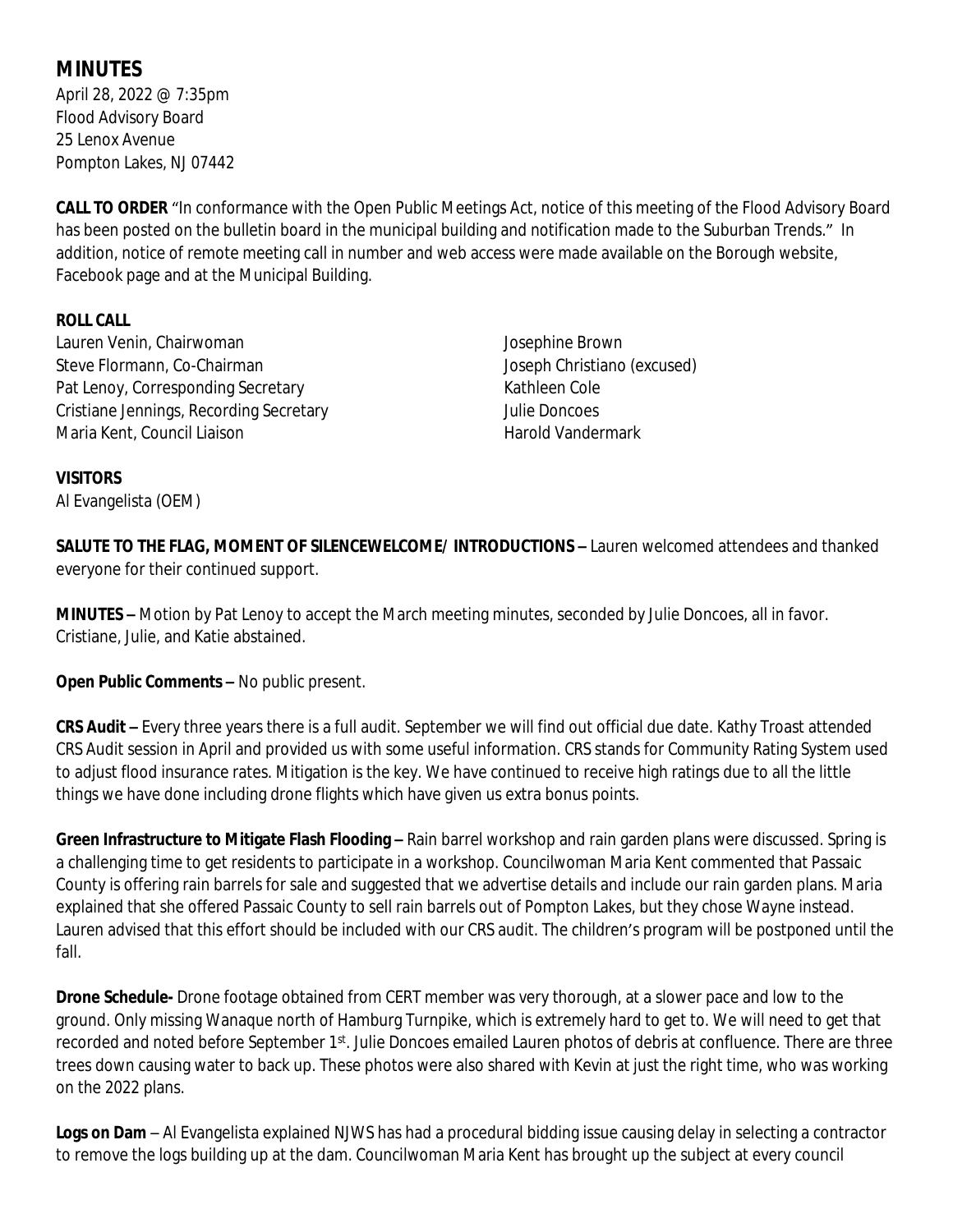# **MINUTES**

April 28, 2022 @ 7:35pm Flood Advisory Board 25 Lenox Avenue Pompton Lakes, NJ 07442

**CALL TO ORDER** "In conformance with the Open Public Meetings Act, notice of this meeting of the Flood Advisory Board has been posted on the bulletin board in the municipal building and notification made to the Suburban Trends." In addition, notice of remote meeting call in number and web access were made available on the Borough website, Facebook page and at the Municipal Building.

### **ROLL CALL**

Lauren Venin, Chairwoman Steve Flormann, Co-Chairman Pat Lenoy, Corresponding Secretary Cristiane Jennings, Recording Secretary Maria Kent, Council Liaison

Josephine Brown Joseph Christiano (excused) Kathleen Cole Julie Doncoes Harold Vandermark

#### **VISITORS**

Al Evangelista (OEM)

**SALUTE TO THE FLAG, MOMENT OF SILENCEWELCOME/ INTRODUCTIONS –** Lauren welcomed attendees and thanked everyone for their continued support.

**MINUTES –** Motion by Pat Lenoy to accept the March meeting minutes, seconded by Julie Doncoes, all in favor. Cristiane, Julie, and Katie abstained.

**Open Public Comments –** No public present.

**CRS Audit –** Every three years there is a full audit. September we will find out official due date. Kathy Troast attended CRS Audit session in April and provided us with some useful information. CRS stands for Community Rating System used to adjust flood insurance rates. Mitigation is the key. We have continued to receive high ratings due to all the little things we have done including drone flights which have given us extra bonus points.

**Green Infrastructure to Mitigate Flash Flooding –** Rain barrel workshop and rain garden plans were discussed. Spring is a challenging time to get residents to participate in a workshop. Councilwoman Maria Kent commented that Passaic County is offering rain barrels for sale and suggested that we advertise details and include our rain garden plans. Maria explained that she offered Passaic County to sell rain barrels out of Pompton Lakes, but they chose Wayne instead. Lauren advised that this effort should be included with our CRS audit. The children's program will be postponed until the fall.

**Drone Schedule-** Drone footage obtained from CERT member was very thorough, at a slower pace and low to the ground. Only missing Wanaque north of Hamburg Turnpike, which is extremely hard to get to. We will need to get that recorded and noted before September 1st. Julie Doncoes emailed Lauren photos of debris at confluence. There are three trees down causing water to back up. These photos were also shared with Kevin at just the right time, who was working on the 2022 plans.

**Logs on Dam** – Al Evangelista explained NJWS has had a procedural bidding issue causing delay in selecting a contractor to remove the logs building up at the dam. Councilwoman Maria Kent has brought up the subject at every council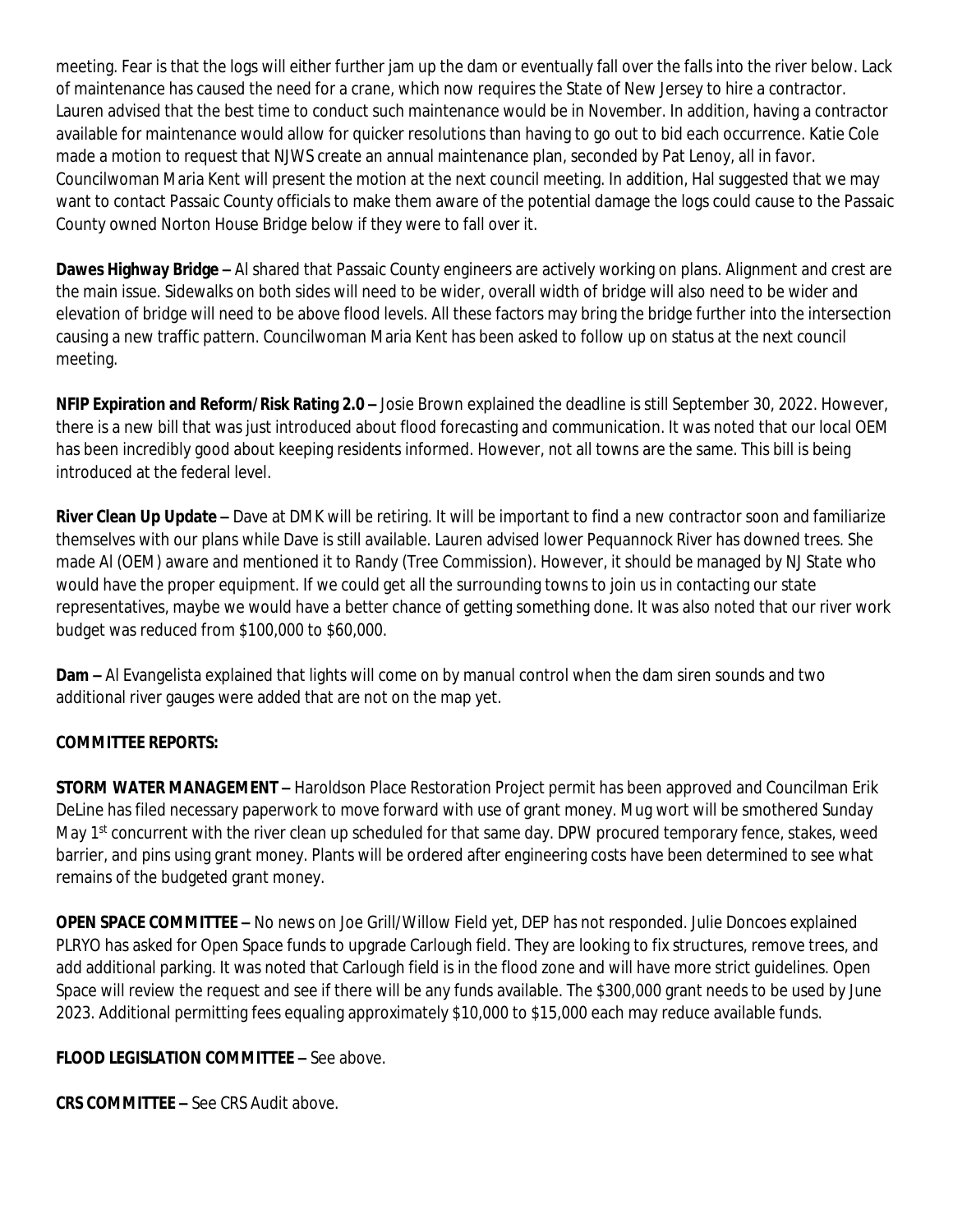meeting. Fear is that the logs will either further jam up the dam or eventually fall over the falls into the river below. Lack of maintenance has caused the need for a crane, which now requires the State of New Jersey to hire a contractor. Lauren advised that the best time to conduct such maintenance would be in November. In addition, having a contractor available for maintenance would allow for quicker resolutions than having to go out to bid each occurrence. Katie Cole made a motion to request that NJWS create an annual maintenance plan, seconded by Pat Lenoy, all in favor. Councilwoman Maria Kent will present the motion at the next council meeting. In addition, Hal suggested that we may want to contact Passaic County officials to make them aware of the potential damage the logs could cause to the Passaic County owned Norton House Bridge below if they were to fall over it.

**Dawes Highway Bridge –** Al shared that Passaic County engineers are actively working on plans. Alignment and crest are the main issue. Sidewalks on both sides will need to be wider, overall width of bridge will also need to be wider and elevation of bridge will need to be above flood levels. All these factors may bring the bridge further into the intersection causing a new traffic pattern. Councilwoman Maria Kent has been asked to follow up on status at the next council meeting.

**NFIP Expiration and Reform/Risk Rating 2.0 –** Josie Brown explained the deadline is still September 30, 2022. However, there is a new bill that was just introduced about flood forecasting and communication. It was noted that our local OEM has been incredibly good about keeping residents informed. However, not all towns are the same. This bill is being introduced at the federal level.

**River Clean Up Update –** Dave at DMK will be retiring. It will be important to find a new contractor soon and familiarize themselves with our plans while Dave is still available. Lauren advised lower Pequannock River has downed trees. She made Al (OEM) aware and mentioned it to Randy (Tree Commission). However, it should be managed by NJ State who would have the proper equipment. If we could get all the surrounding towns to join us in contacting our state representatives, maybe we would have a better chance of getting something done. It was also noted that our river work budget was reduced from \$100,000 to \$60,000.

**Dam –** Al Evangelista explained that lights will come on by manual control when the dam siren sounds and two additional river gauges were added that are not on the map yet.

## **COMMITTEE REPORTS:**

**STORM WATER MANAGEMENT –** Haroldson Place Restoration Project permit has been approved and Councilman Erik DeLine has filed necessary paperwork to move forward with use of grant money. Mug wort will be smothered Sunday May 1<sup>st</sup> concurrent with the river clean up scheduled for that same day. DPW procured temporary fence, stakes, weed barrier, and pins using grant money. Plants will be ordered after engineering costs have been determined to see what remains of the budgeted grant money.

**OPEN SPACE COMMITTEE –** No news on Joe Grill/Willow Field yet, DEP has not responded. Julie Doncoes explained PLRYO has asked for Open Space funds to upgrade Carlough field. They are looking to fix structures, remove trees, and add additional parking. It was noted that Carlough field is in the flood zone and will have more strict guidelines. Open Space will review the request and see if there will be any funds available. The \$300,000 grant needs to be used by June 2023. Additional permitting fees equaling approximately \$10,000 to \$15,000 each may reduce available funds.

#### **FLOOD LEGISLATION COMMITTEE –** See above.

**CRS COMMITTEE –** See CRS Audit above.